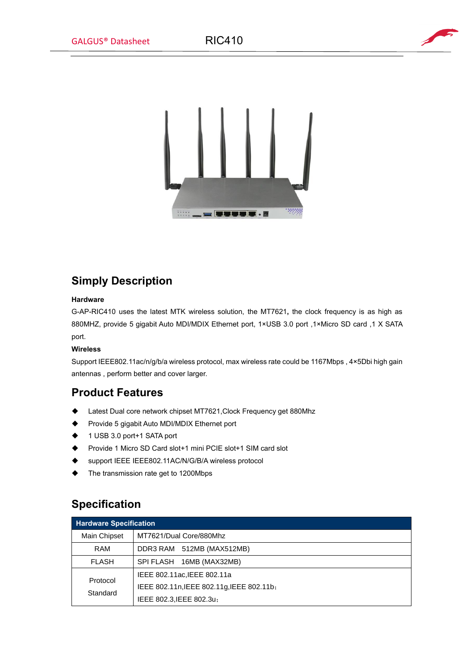



# **Simply Description**

### **Hardware**

G-AP-RIC410 uses the latest MTK wireless solution, the MT7621**,** the clock frequency is as high as 880MHZ, provide 5 gigabit Auto MDI/MDIX Ethernet port, 1×USB 3.0 port ,1×Micro SD card ,1 X SATA port.

## **Wireless**

Support IEEE802.11ac/n/g/b/a wireless protocol, max wireless rate could be 1167Mbps , 4×5Dbi high gain antennas , perform better and cover larger.

## **Product Features**

- ◆ Latest Dual core network chipset MT7621,Clock Frequency get 880Mhz
- ◆ Provide 5 gigabit Auto MDI/MDIX Ethernet port
- ◆ 1 USB 3.0 port+1 SATA port
- ◆ Provide 1 Micro SD Card slot+1 mini PCIE slot+1 SIM card slot
- ◆ support IEEE IEEE802.11AC/N/G/B/A wireless protocol
- ◆ The transmission rate get to 1200Mbps

# **Specification**

| <b>Hardware Specification</b> |                                           |  |
|-------------------------------|-------------------------------------------|--|
| Main Chipset                  | MT7621/Dual Core/880Mhz                   |  |
| RAM                           | DDR3 RAM 512MB (MAX512MB)                 |  |
| <b>FLASH</b>                  | SPI FLASH<br>16MB (MAX32MB)               |  |
| Protocol<br>Standard          | IEEE 802.11ac, IEEE 802.11a               |  |
|                               | IEEE 802.11n, IEEE 802.11g, IEEE 802.11b; |  |
|                               | IEEE 802.3, IEEE 802.3u;                  |  |